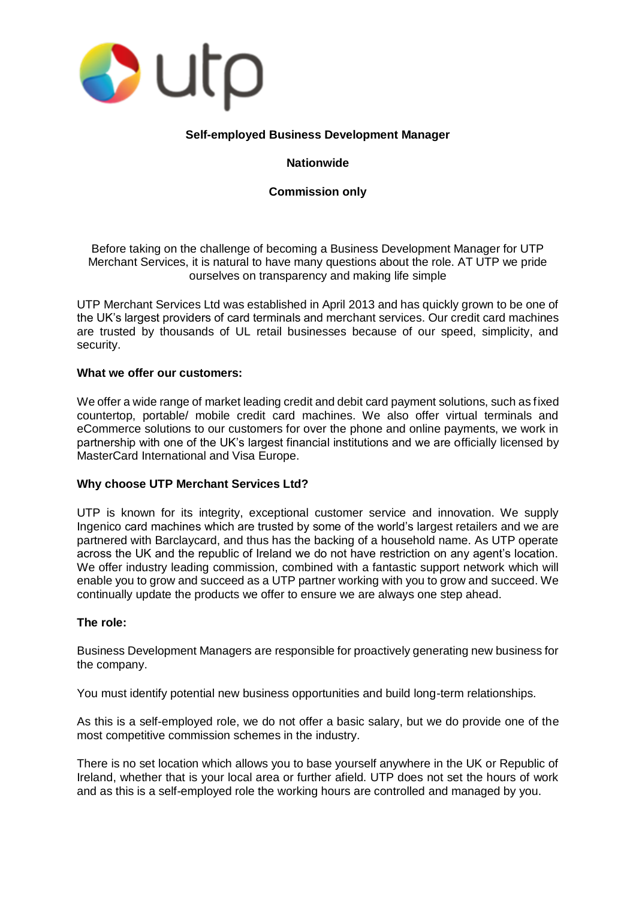

# **Self-employed Business Development Manager**

# **Nationwide**

# **Commission only**

Before taking on the challenge of becoming a Business Development Manager for UTP Merchant Services, it is natural to have many questions about the role. AT UTP we pride ourselves on transparency and making life simple

UTP Merchant Services Ltd was established in April 2013 and has quickly grown to be one of the UK's largest providers of card terminals and merchant services. Our credit card machines are trusted by thousands of UL retail businesses because of our speed, simplicity, and security.

## **What we offer our customers:**

We offer a wide range of market leading credit and debit card payment solutions, such as fixed countertop, portable/ mobile credit card machines. We also offer virtual terminals and eCommerce solutions to our customers for over the phone and online payments, we work in partnership with one of the UK's largest financial institutions and we are officially licensed by MasterCard International and Visa Europe.

## **Why choose UTP Merchant Services Ltd?**

UTP is known for its integrity, exceptional customer service and innovation. We supply Ingenico card machines which are trusted by some of the world's largest retailers and we are partnered with Barclaycard, and thus has the backing of a household name. As UTP operate across the UK and the republic of Ireland we do not have restriction on any agent's location. We offer industry leading commission, combined with a fantastic support network which will enable you to grow and succeed as a UTP partner working with you to grow and succeed. We continually update the products we offer to ensure we are always one step ahead.

## **The role:**

Business Development Managers are responsible for proactively generating new business for the company.

You must identify potential new business opportunities and build long-term relationships.

As this is a self-employed role, we do not offer a basic salary, but we do provide one of the most competitive commission schemes in the industry.

There is no set location which allows you to base yourself anywhere in the UK or Republic of Ireland, whether that is your local area or further afield. UTP does not set the hours of work and as this is a self-employed role the working hours are controlled and managed by you.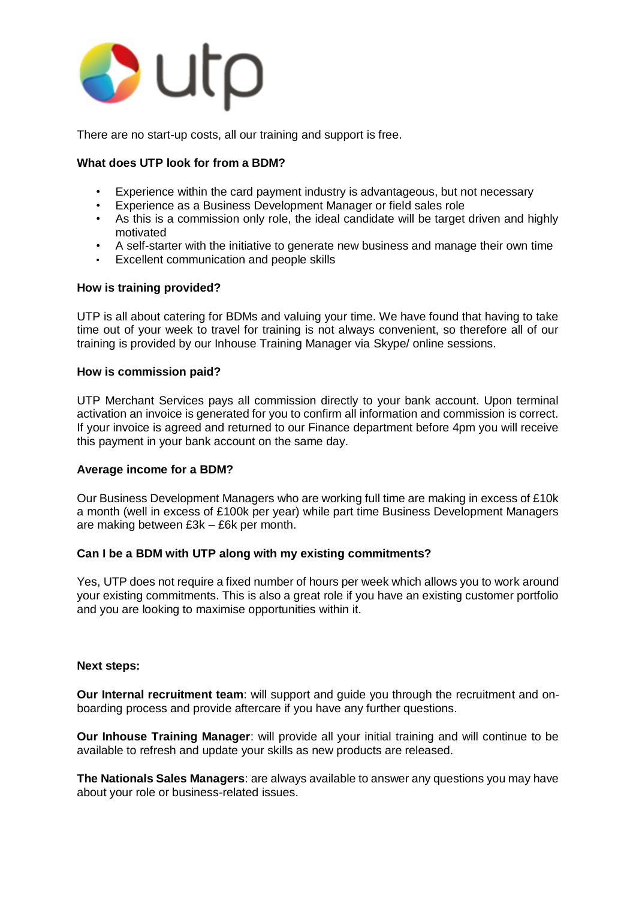

There are no start-up costs, all our training and support is free.

# **What does UTP look for from a BDM?**

- Experience within the card payment industry is advantageous, but not necessary
- Experience as a Business Development Manager or field sales role
- As this is a commission only role, the ideal candidate will be target driven and highly motivated
- A self-starter with the initiative to generate new business and manage their own time
- Excellent communication and people skills

## **How is training provided?**

UTP is all about catering for BDMs and valuing your time. We have found that having to take time out of your week to travel for training is not always convenient, so therefore all of our training is provided by our Inhouse Training Manager via Skype/ online sessions.

## **How is commission paid?**

UTP Merchant Services pays all commission directly to your bank account. Upon terminal activation an invoice is generated for you to confirm all information and commission is correct. If your invoice is agreed and returned to our Finance department before 4pm you will receive this payment in your bank account on the same day.

## **Average income for a BDM?**

Our Business Development Managers who are working full time are making in excess of £10k a month (well in excess of £100k per year) while part time Business Development Managers are making between £3k – £6k per month.

# **Can I be a BDM with UTP along with my existing commitments?**

Yes, UTP does not require a fixed number of hours per week which allows you to work around your existing commitments. This is also a great role if you have an existing customer portfolio and you are looking to maximise opportunities within it.

## **Next steps:**

**Our Internal recruitment team**: will support and guide you through the recruitment and onboarding process and provide aftercare if you have any further questions.

**Our Inhouse Training Manager**: will provide all your initial training and will continue to be available to refresh and update your skills as new products are released.

**The Nationals Sales Managers**: are always available to answer any questions you may have about your role or business-related issues.